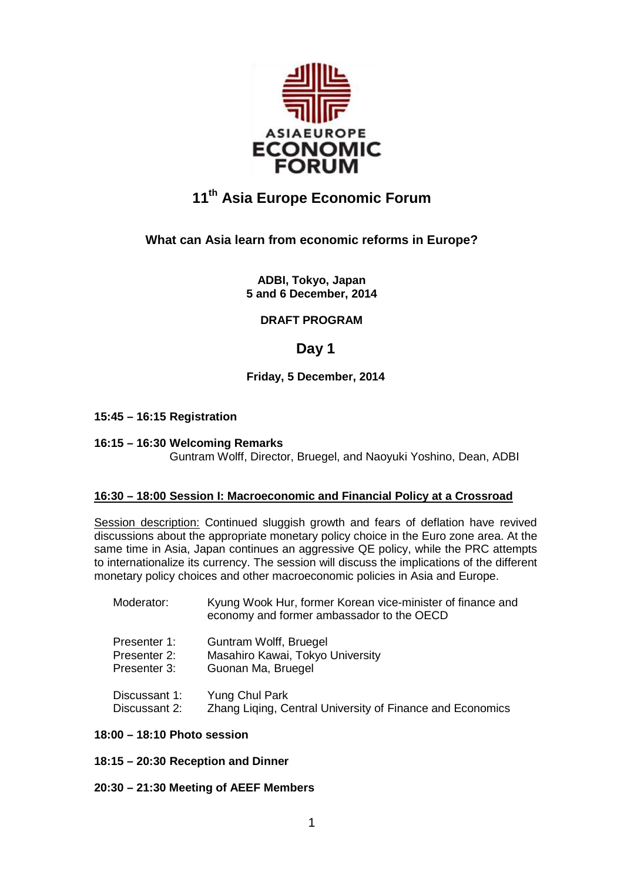

# **11th Asia Europe Economic Forum**

## **What can Asia learn from economic reforms in Europe?**

**ADBI, Tokyo, Japan 5 and 6 December, 2014**

### **DRAFT PROGRAM**

# **Day 1**

### **Friday, 5 December, 2014**

### **15:45 – 16:15 Registration**

### **16:15 – 16:30 Welcoming Remarks**

Guntram Wolff, Director, Bruegel, and Naoyuki Yoshino, Dean, ADBI

### **16:30 – 18:00 Session I: Macroeconomic and Financial Policy at a Crossroad**

Session description: Continued sluggish growth and fears of deflation have revived discussions about the appropriate monetary policy choice in the Euro zone area. At the same time in Asia, Japan continues an aggressive QE policy, while the PRC attempts to internationalize its currency. The session will discuss the implications of the different monetary policy choices and other macroeconomic policies in Asia and Europe.

| Moderator:    | Kyung Wook Hur, former Korean vice-minister of finance and<br>economy and former ambassador to the OECD |
|---------------|---------------------------------------------------------------------------------------------------------|
| Presenter 1:  | Guntram Wolff, Bruegel                                                                                  |
| Presenter 2:  | Masahiro Kawai, Tokyo University                                                                        |
| Presenter 3:  | Guonan Ma, Bruegel                                                                                      |
| Discussant 1: | Yung Chul Park                                                                                          |
| Discussant 2: | Zhang Liqing, Central University of Finance and Economics                                               |

### **18:00 – 18:10 Photo session**

**18:15 – 20:30 Reception and Dinner**

### **20:30 – 21:30 Meeting of AEEF Members**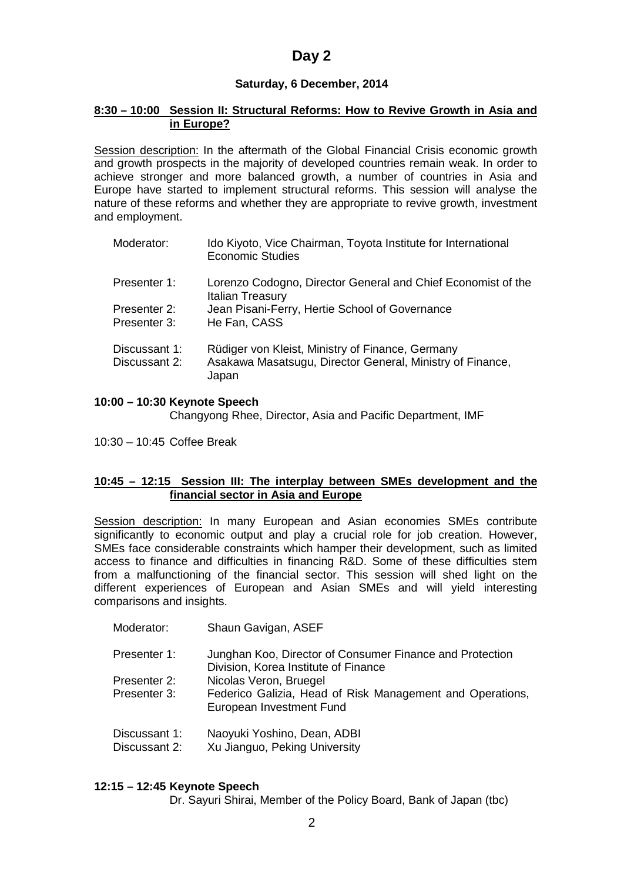# **Day 2**

### **Saturday, 6 December, 2014**

#### **8:30 – 10:00 Session II: Structural Reforms: How to Revive Growth in Asia and in Europe?**

Session description: In the aftermath of the Global Financial Crisis economic growth and growth prospects in the majority of developed countries remain weak. In order to achieve stronger and more balanced growth, a number of countries in Asia and Europe have started to implement structural reforms. This session will analyse the nature of these reforms and whether they are appropriate to revive growth, investment and employment.

| Moderator:                     | Ido Kiyoto, Vice Chairman, Toyota Institute for International<br><b>Economic Studies</b>                               |
|--------------------------------|------------------------------------------------------------------------------------------------------------------------|
| Presenter 1:                   | Lorenzo Codogno, Director General and Chief Economist of the<br><b>Italian Treasury</b>                                |
| Presenter 2:<br>Presenter 3:   | Jean Pisani-Ferry, Hertie School of Governance<br>He Fan, CASS                                                         |
| Discussant 1:<br>Discussant 2: | Rüdiger von Kleist, Ministry of Finance, Germany<br>Asakawa Masatsugu, Director General, Ministry of Finance,<br>Japan |

### **10:00 – 10:30 Keynote Speech**

Changyong Rhee, Director, Asia and Pacific Department, IMF

10:30 – 10:45 Coffee Break

### **10:45 – 12:15 Session III: The interplay between SMEs development and the financial sector in Asia and Europe**

Session description: In many European and Asian economies SMEs contribute significantly to economic output and play a crucial role for job creation. However, SMEs face considerable constraints which hamper their development, such as limited access to finance and difficulties in financing R&D. Some of these difficulties stem from a malfunctioning of the financial sector. This session will shed light on the different experiences of European and Asian SMEs and will yield interesting comparisons and insights.

- Moderator: Shaun Gavigan, ASEF
- Presenter 1: Junghan Koo, Director of Consumer Finance and Protection Division, Korea Institute of Finance
- Presenter 2: Nicolas Veron, Bruegel
- Presenter 3: Federico Galizia, Head of Risk Management and Operations, European Investment Fund
- Discussant 1: Naoyuki Yoshino, Dean, ADBI
- Discussant 2: Xu Jianguo, Peking University

### **12:15 – 12:45 Keynote Speech**

Dr. Sayuri Shirai, Member of the Policy Board, Bank of Japan (tbc)